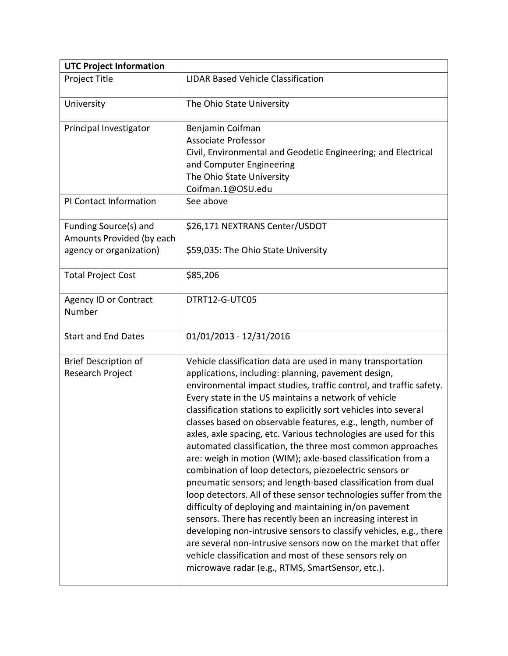| <b>UTC Project Information</b>                                                |                                                                                                                                                                                                                                                                                                                                                                                                                                                                                                                                                                                                                                                                                                                                                                                                                                                                                                                                                                                                                                                                                                                                                                        |  |
|-------------------------------------------------------------------------------|------------------------------------------------------------------------------------------------------------------------------------------------------------------------------------------------------------------------------------------------------------------------------------------------------------------------------------------------------------------------------------------------------------------------------------------------------------------------------------------------------------------------------------------------------------------------------------------------------------------------------------------------------------------------------------------------------------------------------------------------------------------------------------------------------------------------------------------------------------------------------------------------------------------------------------------------------------------------------------------------------------------------------------------------------------------------------------------------------------------------------------------------------------------------|--|
| Project Title                                                                 | <b>LIDAR Based Vehicle Classification</b>                                                                                                                                                                                                                                                                                                                                                                                                                                                                                                                                                                                                                                                                                                                                                                                                                                                                                                                                                                                                                                                                                                                              |  |
| University                                                                    | The Ohio State University                                                                                                                                                                                                                                                                                                                                                                                                                                                                                                                                                                                                                                                                                                                                                                                                                                                                                                                                                                                                                                                                                                                                              |  |
| Principal Investigator                                                        | Benjamin Coifman<br><b>Associate Professor</b><br>Civil, Environmental and Geodetic Engineering; and Electrical<br>and Computer Engineering<br>The Ohio State University<br>Coifman.1@OSU.edu                                                                                                                                                                                                                                                                                                                                                                                                                                                                                                                                                                                                                                                                                                                                                                                                                                                                                                                                                                          |  |
| PI Contact Information                                                        | See above                                                                                                                                                                                                                                                                                                                                                                                                                                                                                                                                                                                                                                                                                                                                                                                                                                                                                                                                                                                                                                                                                                                                                              |  |
| Funding Source(s) and<br>Amounts Provided (by each<br>agency or organization) | \$26,171 NEXTRANS Center/USDOT<br>\$59,035: The Ohio State University                                                                                                                                                                                                                                                                                                                                                                                                                                                                                                                                                                                                                                                                                                                                                                                                                                                                                                                                                                                                                                                                                                  |  |
| <b>Total Project Cost</b>                                                     | \$85,206                                                                                                                                                                                                                                                                                                                                                                                                                                                                                                                                                                                                                                                                                                                                                                                                                                                                                                                                                                                                                                                                                                                                                               |  |
| <b>Agency ID or Contract</b><br>Number                                        | DTRT12-G-UTC05                                                                                                                                                                                                                                                                                                                                                                                                                                                                                                                                                                                                                                                                                                                                                                                                                                                                                                                                                                                                                                                                                                                                                         |  |
| <b>Start and End Dates</b>                                                    | 01/01/2013 - 12/31/2016                                                                                                                                                                                                                                                                                                                                                                                                                                                                                                                                                                                                                                                                                                                                                                                                                                                                                                                                                                                                                                                                                                                                                |  |
| <b>Brief Description of</b><br>Research Project                               | Vehicle classification data are used in many transportation<br>applications, including: planning, pavement design,<br>environmental impact studies, traffic control, and traffic safety.<br>Every state in the US maintains a network of vehicle<br>classification stations to explicitly sort vehicles into several<br>classes based on observable features, e.g., length, number of<br>axles, axle spacing, etc. Various technologies are used for this<br>automated classification, the three most common approaches<br>are: weigh in motion (WIM); axle-based classification from a<br>combination of loop detectors, piezoelectric sensors or<br>pneumatic sensors; and length-based classification from dual<br>loop detectors. All of these sensor technologies suffer from the<br>difficulty of deploying and maintaining in/on pavement<br>sensors. There has recently been an increasing interest in<br>developing non-intrusive sensors to classify vehicles, e.g., there<br>are several non-intrusive sensors now on the market that offer<br>vehicle classification and most of these sensors rely on<br>microwave radar (e.g., RTMS, SmartSensor, etc.). |  |